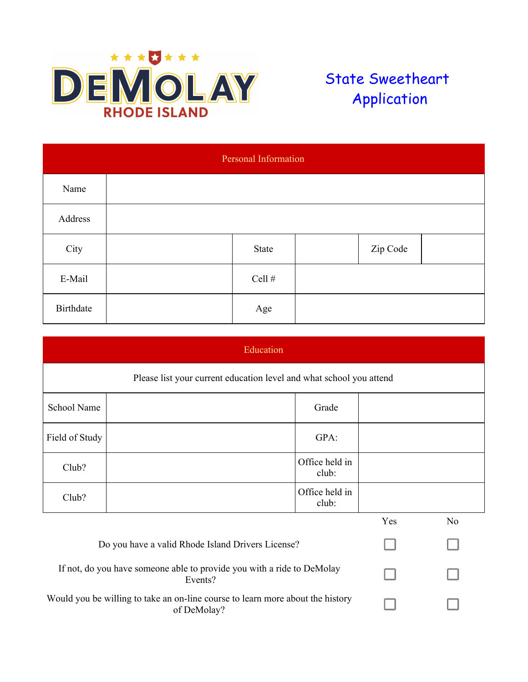

## State Sweetheart Application

| Personal Information |  |          |  |          |  |  |
|----------------------|--|----------|--|----------|--|--|
| Name                 |  |          |  |          |  |  |
| Address              |  |          |  |          |  |  |
| City                 |  | State    |  | Zip Code |  |  |
| E-Mail               |  | Cell $#$ |  |          |  |  |
| Birthdate            |  | Age      |  |          |  |  |

| Education                                                                                     |                                                   |                         |                |  |  |
|-----------------------------------------------------------------------------------------------|---------------------------------------------------|-------------------------|----------------|--|--|
| Please list your current education level and what school you attend                           |                                                   |                         |                |  |  |
| School Name                                                                                   |                                                   | Grade                   |                |  |  |
| Field of Study                                                                                |                                                   | GPA:                    |                |  |  |
| Club?                                                                                         |                                                   | Office held in<br>club: |                |  |  |
| Club?                                                                                         |                                                   | Office held in<br>club: |                |  |  |
|                                                                                               |                                                   | Yes                     | N <sub>o</sub> |  |  |
|                                                                                               | Do you have a valid Rhode Island Drivers License? |                         |                |  |  |
| If not, do you have someone able to provide you with a ride to DeMolay<br>Events?             |                                                   |                         |                |  |  |
| Would you be willing to take an on-line course to learn more about the history<br>of DeMolay? |                                                   |                         |                |  |  |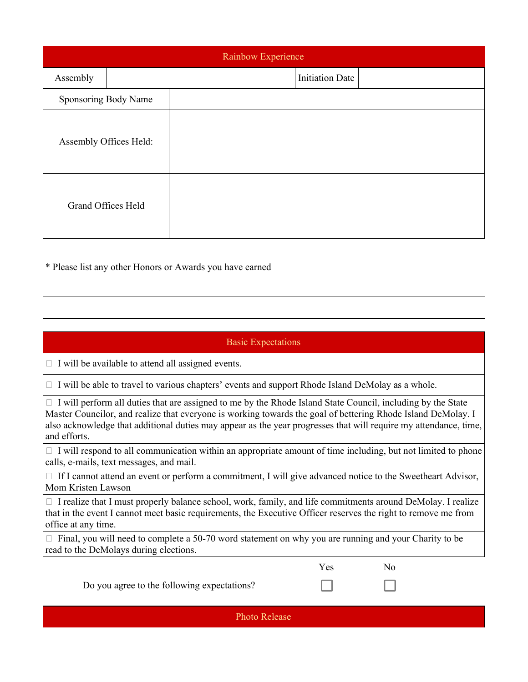| Rainbow Experience   |                           |  |                        |  |  |  |
|----------------------|---------------------------|--|------------------------|--|--|--|
| Assembly             |                           |  | <b>Initiation Date</b> |  |  |  |
| Sponsoring Body Name |                           |  |                        |  |  |  |
|                      | Assembly Offices Held:    |  |                        |  |  |  |
|                      | <b>Grand Offices Held</b> |  |                        |  |  |  |

\* Please list any other Honors or Awards you have earned

## Basic Expectations

 $\Box$  I will be available to attend all assigned events.

 $\Box$  I will be able to travel to various chapters' events and support Rhode Island DeMolay as a whole.

 $\Box$  I will perform all duties that are assigned to me by the Rhode Island State Council, including by the State Master Councilor, and realize that everyone is working towards the goal of bettering Rhode Island DeMolay. I also acknowledge that additional duties may appear as the year progresses that will require my attendance, time, and efforts.

 $\Box$  I will respond to all communication within an appropriate amount of time including, but not limited to phone calls, e-mails, text messages, and mail.

□ If I cannot attend an event or perform a commitment, I will give advanced notice to the Sweetheart Advisor, Mom Kristen Lawson

 $\Box$  I realize that I must properly balance school, work, family, and life commitments around DeMolay. I realize that in the event I cannot meet basic requirements, the Executive Officer reserves the right to remove me from office at any time.

|  | $\Box$ Final, you will need to complete a 50-70 word statement on why you are running and your Charity to be |  |  |  |
|--|--------------------------------------------------------------------------------------------------------------|--|--|--|
|  | read to the DeMolays during elections.                                                                       |  |  |  |

|  | Do you agree to the following expectations? |  |
|--|---------------------------------------------|--|
|--|---------------------------------------------|--|

Photo Release

Yes No

- 1